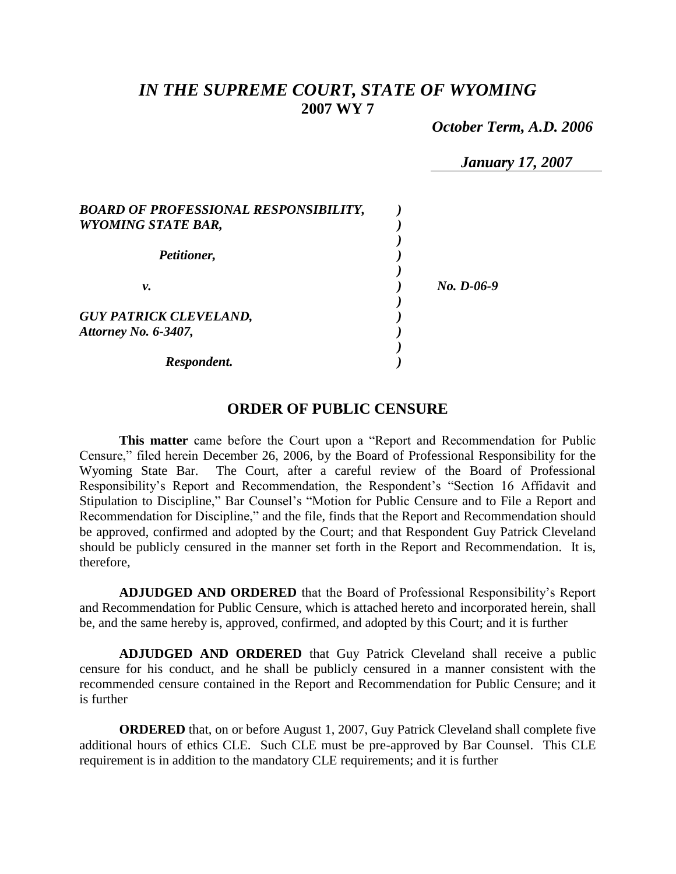# *IN THE SUPREME COURT, STATE OF WYOMING* **2007 WY 7**

 *October Term, A.D. 2006*

*January 17, 2007*

| <b>BOARD OF PROFESSIONAL RESPONSIBILITY,</b><br><b>WYOMING STATE BAR,</b> |            |
|---------------------------------------------------------------------------|------------|
| Petitioner,                                                               |            |
| ν.                                                                        | No. D-06-9 |
| <b>GUY PATRICK CLEVELAND,</b><br>Attorney No. 6-3407,                     |            |
| Respondent.                                                               |            |

### **ORDER OF PUBLIC CENSURE**

**This matter** came before the Court upon a "Report and Recommendation for Public Censure," filed herein December 26, 2006, by the Board of Professional Responsibility for the Wyoming State Bar. The Court, after a careful review of the Board of Professional Responsibility's Report and Recommendation, the Respondent's "Section 16 Affidavit and Stipulation to Discipline," Bar Counsel's "Motion for Public Censure and to File a Report and Recommendation for Discipline," and the file, finds that the Report and Recommendation should be approved, confirmed and adopted by the Court; and that Respondent Guy Patrick Cleveland should be publicly censured in the manner set forth in the Report and Recommendation. It is, therefore,

**ADJUDGED AND ORDERED** that the Board of Professional Responsibility's Report and Recommendation for Public Censure, which is attached hereto and incorporated herein, shall be, and the same hereby is, approved, confirmed, and adopted by this Court; and it is further

**ADJUDGED AND ORDERED** that Guy Patrick Cleveland shall receive a public censure for his conduct, and he shall be publicly censured in a manner consistent with the recommended censure contained in the Report and Recommendation for Public Censure; and it is further

**ORDERED** that, on or before August 1, 2007, Guy Patrick Cleveland shall complete five additional hours of ethics CLE. Such CLE must be pre-approved by Bar Counsel. This CLE requirement is in addition to the mandatory CLE requirements; and it is further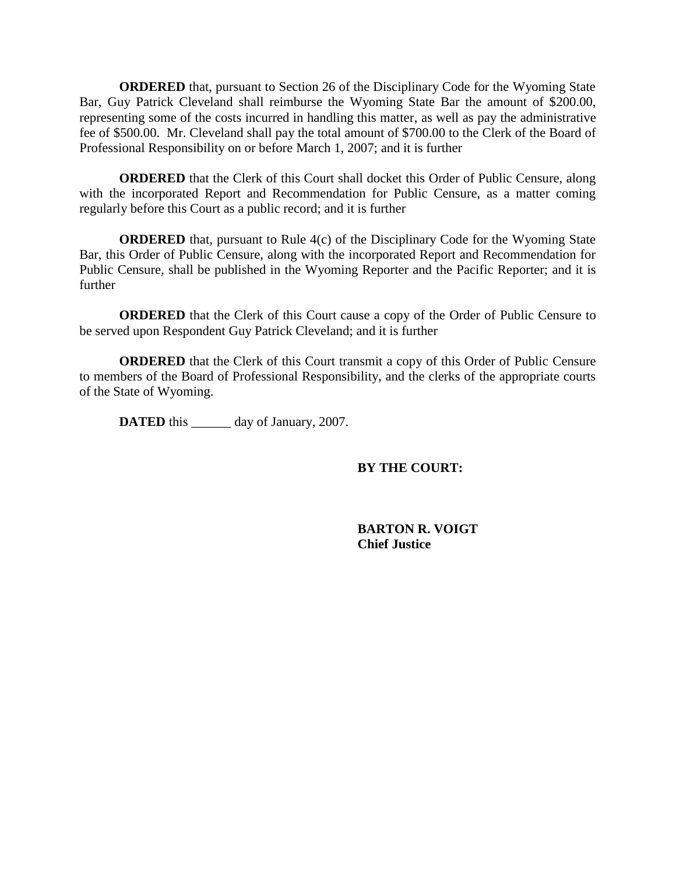**ORDERED** that, pursuant to Section 26 of the Disciplinary Code for the Wyoming State Bar, Guy Patrick Cleveland shall reimburse the Wyoming State Bar the amount of \$200.00, representing some of the costs incurred in handling this matter, as well as pay the administrative fee of \$500.00. Mr. Cleveland shall pay the total amount of \$700.00 to the Clerk of the Board of Professional Responsibility on or before March 1, 2007; and it is further

**ORDERED** that the Clerk of this Court shall docket this Order of Public Censure, along with the incorporated Report and Recommendation for Public Censure, as a matter coming regularly before this Court as a public record; and it is further

**ORDERED** that, pursuant to Rule 4(c) of the Disciplinary Code for the Wyoming State Bar, this Order of Public Censure, along with the incorporated Report and Recommendation for Public Censure, shall be published in the Wyoming Reporter and the Pacific Reporter; and it is further

**ORDERED** that the Clerk of this Court cause a copy of the Order of Public Censure to be served upon Respondent Guy Patrick Cleveland; and it is further

**ORDERED** that the Clerk of this Court transmit a copy of this Order of Public Censure to members of the Board of Professional Responsibility, and the clerks of the appropriate courts of the State of Wyoming.

**DATED** this \_\_\_\_\_\_ day of January, 2007.

### **BY THE COURT:**

**BARTON R. VOIGT Chief Justice**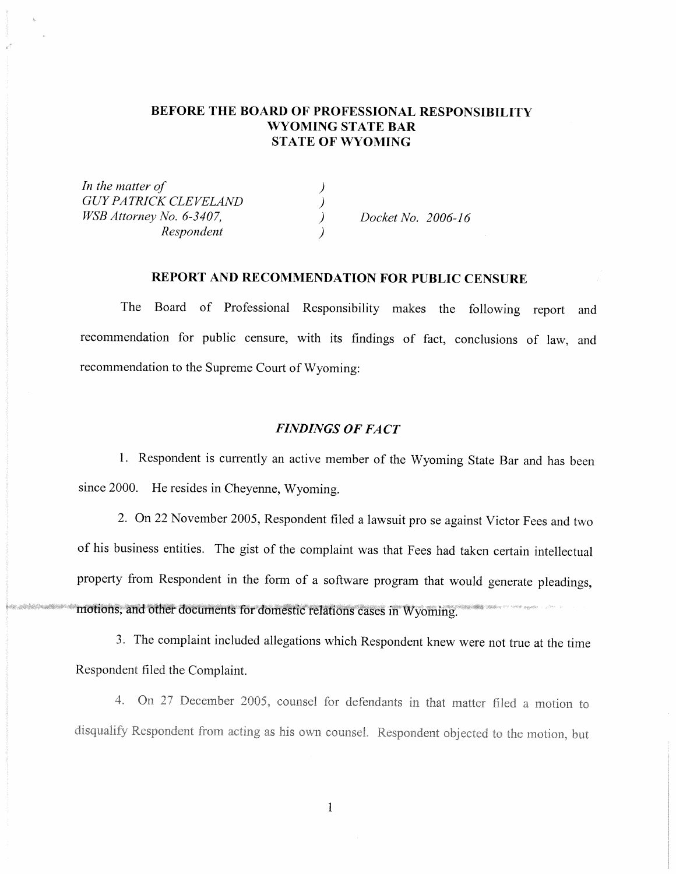### BEFORE THE BOARD OF PROFESSIONAL RESPONSIBILITY **WYOMING STATE BAR STATE OF WYOMING**

In the matter of **GUY PATRICK CLEVELAND**  $\lambda$ WSB Attorney No. 6-3407.  $\mathcal{L}$ Respondent

Docket No. 2006-16

### REPORT AND RECOMMENDATION FOR PUBLIC CENSURE

The Board of Professional Responsibility makes the following report and recommendation for public censure, with its findings of fact, conclusions of law, and recommendation to the Supreme Court of Wyoming:

#### **FINDINGS OF FACT**

1. Respondent is currently an active member of the Wyoming State Bar and has been since 2000. He resides in Cheyenne, Wyoming.

2. On 22 November 2005, Respondent filed a lawsuit pro se against Victor Fees and two of his business entities. The gist of the complaint was that Fees had taken certain intellectual property from Respondent in the form of a software program that would generate pleadings, motions, and other documents for domestic relations cases in Wyoming.

3. The complaint included allegations which Respondent knew were not true at the time Respondent filed the Complaint.

4. On 27 December 2005, counsel for defendants in that matter filed a motion to disqualify Respondent from acting as his own counsel. Respondent objected to the motion, but

 $\mathbf{1}$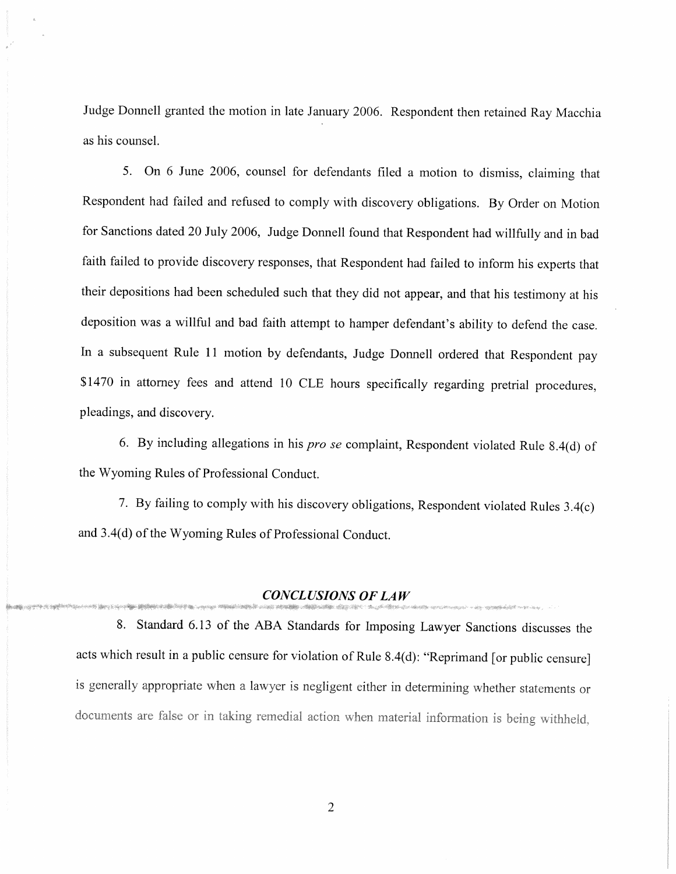Judge Donnell granted the motion in late January 2006. Respondent then retained Ray Macchia as his counsel.

5. On 6 June 2006, counsel for defendants filed a motion to dismiss, claiming that Respondent had failed and refused to comply with discovery obligations. By Order on Motion for Sanctions dated 20 July 2006, Judge Donnell found that Respondent had willfully and in bad faith failed to provide discovery responses, that Respondent had failed to inform his experts that their depositions had been scheduled such that they did not appear, and that his testimony at his deposition was a willful and bad faith attempt to hamper defendant's ability to defend the case. In a subsequent Rule 11 motion by defendants, Judge Donnell ordered that Respondent pay \$1470 in attorney fees and attend 10 CLE hours specifically regarding pretrial procedures, pleadings, and discovery.

6. By including allegations in his *pro se* complaint, Respondent violated Rule 8.4(d) of the Wyoming Rules of Professional Conduct.

7. By failing to comply with his discovery obligations, Respondent violated Rules 3.4(c) and 3.4(d) of the Wyoming Rules of Professional Conduct.

#### **CONCLUSIONS OF LAW**

8. Standard 6.13 of the ABA Standards for Imposing Lawyer Sanctions discusses the acts which result in a public censure for violation of Rule 8.4(d): "Reprimand [or public censure] is generally appropriate when a lawyer is negligent either in determining whether statements or documents are false or in taking remedial action when material information is being withheld,

 $\overline{2}$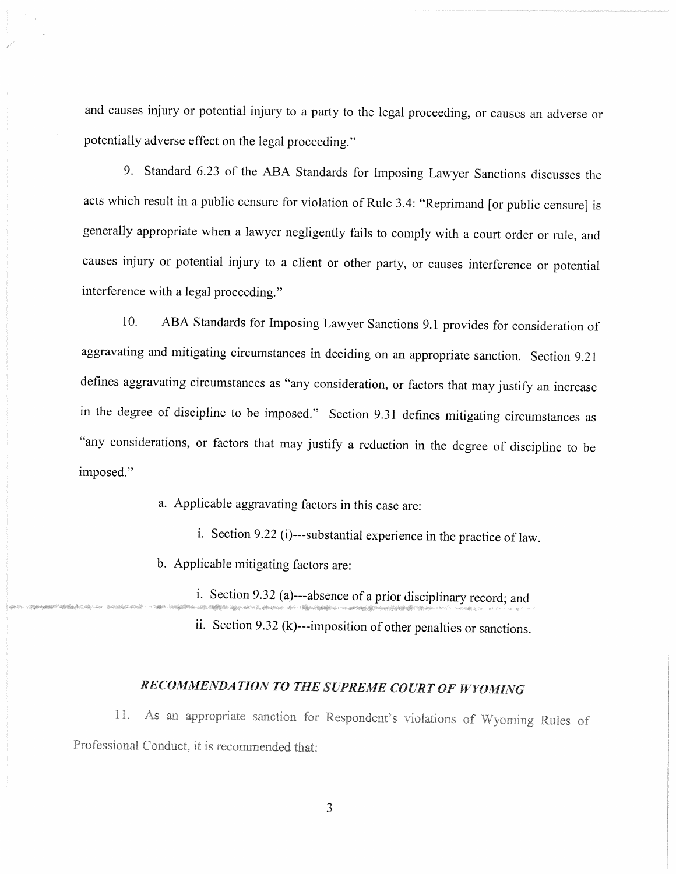and causes injury or potential injury to a party to the legal proceeding, or causes an adverse or potentially adverse effect on the legal proceeding."

9. Standard 6.23 of the ABA Standards for Imposing Lawyer Sanctions discusses the acts which result in a public censure for violation of Rule 3.4: "Reprimand [or public censure] is generally appropriate when a lawyer negligently fails to comply with a court order or rule, and causes injury or potential injury to a client or other party, or causes interference or potential interference with a legal proceeding."

ABA Standards for Imposing Lawyer Sanctions 9.1 provides for consideration of 10. aggravating and mitigating circumstances in deciding on an appropriate sanction. Section 9.21 defines aggravating circumstances as "any consideration, or factors that may justify an increase in the degree of discipline to be imposed." Section 9.31 defines mitigating circumstances as "any considerations, or factors that may justify a reduction in the degree of discipline to be imposed."

a. Applicable aggravating factors in this case are:

i. Section 9.22 (i)---substantial experience in the practice of law.

b. Applicable mitigating factors are:

i. Section 9.32 (a)---absence of a prior disciplinary record; and

ii. Section 9.32 (k)---imposition of other penalties or sanctions.

## RECOMMENDATION TO THE SUPREME COURT OF WYOMING

11. As an appropriate sanction for Respondent's violations of Wyoming Rules of Professional Conduct, it is recommended that: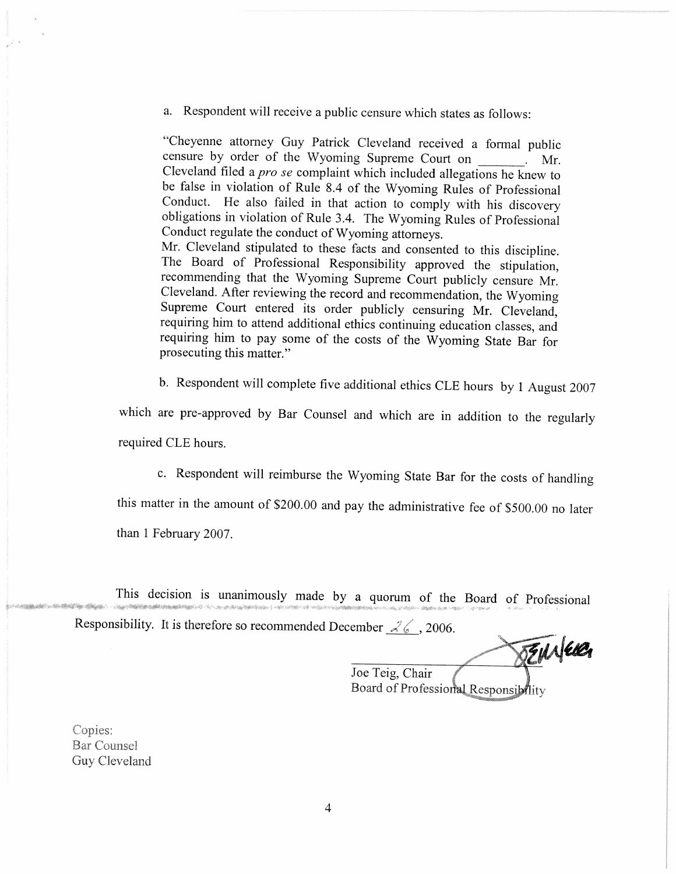a. Respondent will receive a public censure which states as follows:

"Cheyenne attorney Guy Patrick Cleveland received a formal public censure by order of the Wyoming Supreme Court on Mr. Cleveland filed a *pro se* complaint which included allegations he knew to be false in violation of Rule 8.4 of the Wyoming Rules of Professional Conduct. He also failed in that action to comply with his discovery obligations in violation of Rule 3.4. The Wyoming Rules of Professional Conduct regulate the conduct of Wyoming attorneys.

Mr. Cleveland stipulated to these facts and consented to this discipline. The Board of Professional Responsibility approved the stipulation, recommending that the Wyoming Supreme Court publicly censure Mr. Cleveland. After reviewing the record and recommendation, the Wyoming Supreme Court entered its order publicly censuring Mr. Cleveland, requiring him to attend additional ethics continuing education classes, and requiring him to pay some of the costs of the Wyoming State Bar for prosecuting this matter."

b. Respondent will complete five additional ethics CLE hours by 1 August 2007

which are pre-approved by Bar Counsel and which are in addition to the regularly required CLE hours.

c. Respondent will reimburse the Wyoming State Bar for the costs of handling

this matter in the amount of \$200.00 and pay the administrative fee of \$500.00 no later than 1 February 2007.

This decision is unanimously made by a quorum of the Board of Professional Responsibility. It is therefore so recommended December  $\mathcal{L}$  6, 2006.

BENNER

Joe Teig, Chair Board of Professional Responsibility

Copies: **Bar Counsel** Guy Cleveland